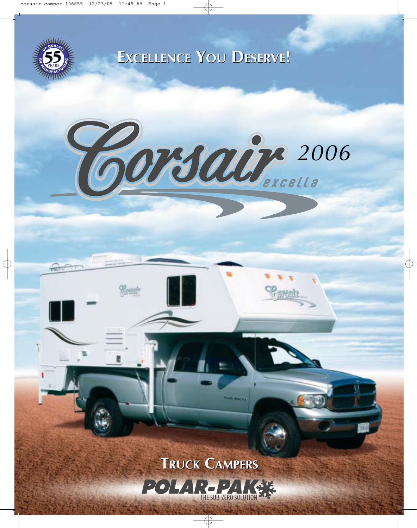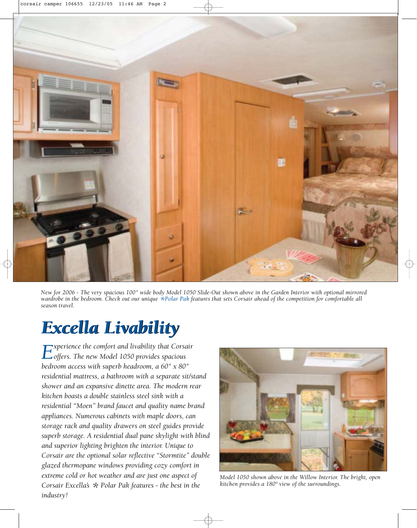corsair camper 106655 12/23/05 11:46 AM Page 2



*New for 2006 - The very spacious 100" wide body Model 1050 Slide-Out shown above in the Garden Interior with optional mirrored wardrobe in the bedroom. Check out our unique \*Polar Pak features that sets Corsair ahead of the competition for comfortable all season travel.*

# *Excella Livability Excella Livability*

*Experience the comfort and livability that Corsair offers. The new Model 1050 provides spacious bedroom access with superb headroom, a 60" x 80" residential mattress, a bathroom with a separate sit/stand shower and an expansive dinette area. The modern rear kitchen boasts a double stainless steel sink with a residential "Moen" brand faucet and quality name brand appliances. Numerous cabinets with maple doors, can storage rack and quality drawers on steel guides provide superb storage. A residential dual pane skylight with blind and superior lighting brighten the interior. Unique to Corsair are the optional solar reflective "Stormtite" double glazed thermopane windows providing cozy comfort in extreme cold or hot weather and are just one aspect of Corsair Excella's \* Polar Pak features - the best in the industry!*



*Model 1050 shown above in the Willow Interior. The bright, open kitchen provides a 180° view of the surroundings.*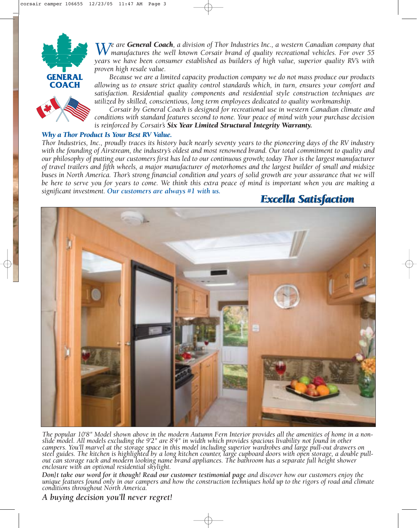

*We are General Coach*, a division of Thor Industries Inc., a western Canadian company that<br> *manufactures the well known Corsair brand of quality recreational vehicles. For over 55*<br>
we are the well as a highly reference *years we have been consumer established as builders of high value, superior quality RV's with proven high resale value.*

*Because we are a limited capacity production company we do not mass produce our products allowing us to ensure strict quality control standards which, in turn, ensures your comfort and satisfaction. Residential quality components and residential style construction techniques are utilized by skilled, conscientious, long term employees dedicated to quality workmanship.*

*Corsair by General Coach is designed for recreational use in western Canadian climate and conditions with standard features second to none. Your peace of mind with your purchase decision is reinforced by Corsair's Six Year Limited Structural Integrity Warranty.*

### *Why a Thor Product Is Your Best RV Value.*

*Thor Industries, Inc., proudly traces its history back nearly seventy years to the pioneering days of the RV industry with the founding of Airstream, the industry's oldest and most renowned brand. Our total commitment to quality and our philosophy of putting our customers first has led to our continuous growth; today Thor is the largest manufacturer of travel trailers and fifth wheels, a major manufacturer of motorhomes and the largest builder of small and midsize* buses in North America. Thor's strong financial condition and years of solid growth are your assurance that we will *be here to serve you for years to come. We think this extra peace of mind is important when you are making a significant investment. Our customers are always #1 with us.*

# *Excella Satisfaction Excella Satisfaction*



*The popular 10'8" Model shown above in the modern Autumn Fern Interior provides all the amenities of home in a nonslide model. All models excluding the 9'2" are 8'4" in width which provides spacious livability not found in other campers. You'll marvel at the storage space in this model including superior wardrobes and large pull-out drawers on steel guides. The kitchen is highlighted by a long kitchen counter, large cupboard doors with open storage, a double pullout can storage rack and modern looking name brand appliances. The bathroom has a separate full height shower enclosure with an optional residential skylight.*

Don}t take our word for it though! Read our customer testimonial page and discover how our customers enjoy the<br>unique features found only in our campers and how the construction techniques hold up to the rigors of road and *conditions throughout North America.*

### *A buying decision you'll never regret!*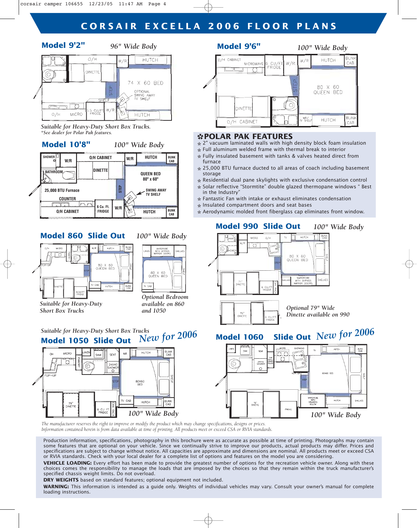# **CORSAIR EXCELLA 2006 FLOOR PLANS**

### **Model 9'2"**



*Suitable for Heavy-Duty Short Box Trucks. \*See dealer for Polar Pak features.*

#### **Model 10'8"** *100" Wide Body* **SHOWER O/H CABINET HUTCH BUNK CAB** W/R **W/R** W/R **DINETTE BATHROOM QUEEN BED 80" x 60" STEP 25,000 BTU Furnace SWING AWAY TV SHELF COUNTER** ור ב Inn **6 Cu. Ft. W/R O/H CABINET FRIDGE HUTCH BUNK CAB**

### **Model 860 Slide Out**



*Suitable for Heavy-Duty Short Box Trucks*

# WARDROBE<br>WITH BYPASS<br>MIRROR DOOR

*100" Wide Body*



*Optional Bedroom available on 860*





## **Model 9'6"**

### *96" Wide Body 100" Wide Body*



### **\*POLAR PAK FEATURES**

- $*$  2" vacuum laminated walls with high density block foam insulation
- $*$  Full aluminum welded frame with thermal break to interior
- \* Fully insulated basement with tanks & valves heated direct from furnace
- \* 25,000 BTU furnace ducted to all areas of coach including basement storage
- $*$  Residential dual pane skylights with exclusive condensation control
- \* Solar reflective "Stormtite" double glazed thermopane windows " Best in the Industry"
- $*$  Fantastic Fan with intake or exhaust eliminates condensation
- \* Insulated compartment doors and seat bases
- \* Aerodynamic molded front fiberglass cap eliminates front window.

### **Model 990 Slide Out** *100" Wide Body*





# *Dinette available on 990*

# **Slide Out** *New for 2006*



*The manufacturer reserves the right to improve or modify the product which may change specifications, designs or prices. Information contained herein is from data available at time of printing. All products meet or exceed CSA or RVIA standards.*

Production information, specifications, photography in this brochure were as accurate as possible at time of printing. Photographs may contain some features that are optional on your vehicle. Since we continually strive to improve our products, actual products may differ. Prices and specifications are subject to change without notice. All capacities are approximate and dimensions are nominal. All products meet or exceed CSA or RVIA standards. Check with your local dealer for a complete list of options and features on the model you are considering.

**VEHICLE LOADING:** Every effort has been made to provide the greatest number of options for the recreation vehicle owner. Along with these choices comes the responsibility to manage the loads that are imposed by the choices so that they remain within the truck manufacturer's specified chassis weight limits. Do not overload.

**DRY WEIGHTS** based on standard features; optional equipment not included.

**WARNING:** This information is intended as a guide only. Weights of individual vehicles may vary. Consult your owner's manual for complete loading instructions.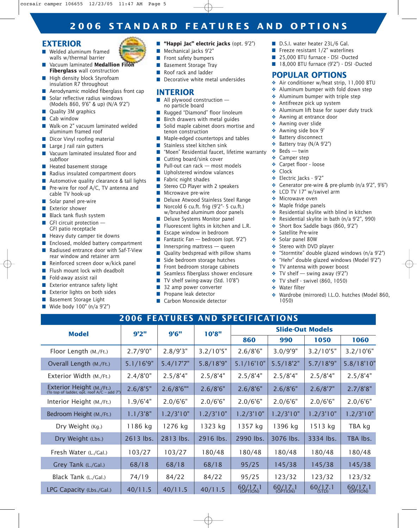## **2006 STANDARD FEATURES AND OPTIONS**

### **EXTERIOR**

- Welded aluminum framed walls w/thermal barrier
- Vacuum laminated **Medallion Filon Fiberglass** wall construction
- High density block Styrofoam insulation R7 throughout
- Aerodynamic molded fiberglass front cap
- Solar reflective radius windows (Models 860, 9'6" & up) (N/A 9'2")
- Quality 3M graphics
- Cab window
- Walk-on 2" vacuum laminated welded aluminum framed roof
- Dicor Vinyl roofing material
- Large J rail rain gutters
- Vacuum laminated insulated floor and subfloor
- Heated basement storage
- Radius insulated compartment doors
- Automotive quality clearance & tail lights
- Pre-wire for roof A/C, TV antenna and cable TV hook-up
- Solar panel pre-wire
- Exterior shower
- Black tank flush system
- GFI circuit protection GFI patio receptacle
- Heavy duty camper tie downs
- Enclosed, molded battery compartment
- Radiused entrance door with Saf-T-View
- rear window and retainer arm ■ Reinforced screen door w/kick panel
- Flush mount lock with deadbolt
- Fold-away assist rail
- Exterior entrance safety light
- Exterior lights on both sides
- **Basement Storage Light**
- 

### ■ Wide body 100" (n/a 9'2")

### ■ **"Happi Jac" electric jacks** (opt. 9'2")

- Mechanical jacks 9'2"
- Front safety bumpers
- Basement Storage Tray
- Roof rack and ladder
- Decorative white metal undersides

### **INTERIOR**

- All plywood construction no particle board
- Rugged "Diamond" floor linoleum
- Birch drawers with metal guides
- Solid maple cabinet doors mortise and tenon construction
- Maple-edged countertops and tables
- Stainless steel kitchen sink
- "Moen" Residential faucet, lifetime warranty
- Cutting board/sink cover
- Pull-out can rack most models
- Upholstered window valances
- Fabric night shades
- Stereo CD Player with 2 speakers
- Microwave pre-wire
- Deluxe Atwood Stainless Steel Range
- Norcold 6 cu.ft. frig (9'2"- 5 cu.ft.) w/brushed aluminum door panels
- Deluxe Systems Monitor panel
- Fluorescent lights in kitchen and L.R. ■ Escape window in bedroom
- Fantastic Fan bedroom (opt. 9'2")
- Innerspring mattress queen
- Quality bedspread with pillow shams
- Side bedroom storage hutches
- Front bedroom storage cabinets
- Seamless fiberglass shower enclosure
- TV shelf swing-away (Std. 10'8")

**2006 FEATURES AND SPECIFICATIONS**

Floor Length (M./Ft.) | 2.7/9'0" | 2.8/9'3" | 3.2/10'5" | 2.6/8'6" | 3.0/9'9" | 3.2/10'5" | 3.2/10'6" Overall Length (M./Ft.) | 5.1/16'9" | 5.4/17'7" | 5.8/18'9" | 5.1/16'10" | 5.5/18'2" | 5.7/18'9" | 5.8/18'10"

Exterior Width (M./Ft.) 2.4/8'0" 2.5/8'4" 2.5/8'4" 2.5/8'4" 2.5/8'4" 2.5/8'4" 2.5/8'4"

 $\text{Exterior Height } (M./\text{Ft.}) \ \text{2.6/8's"} \ \text{2.6/8's"} \ \text{2.6/8's"} \ \text{2.6/8's"} \ \text{2.6/8's"} \ \text{2.6/8's"} \ \text{2.6/8's"} \ \text{2.6/8's"} \ \text{2.6/8's"} \ \text{2.6/8's"} \ \text{2.6/8's"} \ \text{2.7/8's"} \ \text{2.7/8's"} \ \text{2.7/8's"} \ \text{2.8/8's"} \ \text{2.8/8's"} \ \text{2.8/8's"$ Interior Height (M./Ft.) 1.9/6'4" 2.0/6'6" 2.0/6'6" 2.0/6'6" 2.0/6'6" 2.0/6'6" 2.0/6'6" Bedroom Height (M./Ft.) 1.1/3'8" 1.2/3'10" 1.2/3'10" 1.2/3'10" 1.2/3'10" 1.2/3'10" 1.2/3'10"

Dry Weight (Kg.) | 1186 kg | 1276 kg | 1323 kg | 1357 kg | 1396 kg | 1513 kg | TBA kg

Dry Weight (Lbs.) 2613 lbs. 2813 lbs. 2916 lbs. 2990 lbs. 3076 lbs. 3334 lbs. TBA lbs.

Fresh Water (L./Gal.) 103/27 103/27 180/48 180/48 180/48 180/48 180/48

Grey Tank (L./Gal.) | 68/18 | 68/18 | 68/18 | 95/25 | 145/38 | 145/38 | 145/38 Black Tank (L./Gal.) 74/19 84/22 84/22 95/25 123/32 123/32 123/32 LPG Capacity (Lbs./Gal.) 40/11.5 40/11.5 40/11.5 60/17.1 60/17.1 60/17.1 60/17.1 (OPTION) (OPTION) (STD) (OPTION)

**Model 9'2" 9'6" 10'8" Slide-Out Models**

- 32 amp power converter
- Propane leak detector
- Carbon Monoxide detector
- D.S.I. water heater 23L/6 Gal.
- Freeze resistant 1/2" waterlines
- 25,000 BTU furnace DSI -Ducted
- 18,000 BTU furnace (9'2") DSI -Ducted

### **POPULAR OPTIONS**

- ❖ Air conditioner w/heat strip, 11,000 BTU
- ❖ Aluminum bumper with fold down step
- ❖ Aluminum bumper with triple step
- ❖ Antifreeze pick up system
- ❖ Aluminum lift base for super duty truck
- ❖ Awning at entrance door
- ❖ Awning over slide
- ❖ Awning side box 9'
- ❖ Battery disconnect
- ❖ Battery tray (N/A 9'2")
- ❖ Beds twin
- ❖ Camper step
- ❖ Carpet floor loose
- ❖ Clock
- ❖ Electric Jacks 9'2"
- ❖ Generator pre-wire & pre-plumb (n/a 9'2", 9'6")
- ❖ LCD TV 17" w/swivel arm
- ❖ Microwave oven
- ❖ Maple fridge panels
- ❖ Residential skylite with blind in kitchen
- ❖ Residential skylite in bath (n/a 9'2", 990)
- ❖ Short Box Saddle bags (860, 9'2")
- ❖ Satellite Pre-wire
- ❖ Solar panel 80W

❖ Water filter

1050)

- ❖ Stereo with DVD player
- ❖ "Stormtite" double glazed windows (n/a 9'2")

❖ Wardrobe (mirrored) I.L.O. hutches (Model 860,

**860 990 1050 1060**

- ❖ "Hehr" double glazed windows (Model 9'2")
- ❖ TV antenna with power boost  $\bullet$  TV shelf — swing away (9'2")

❖ TV shelf - swivel (860, 1050)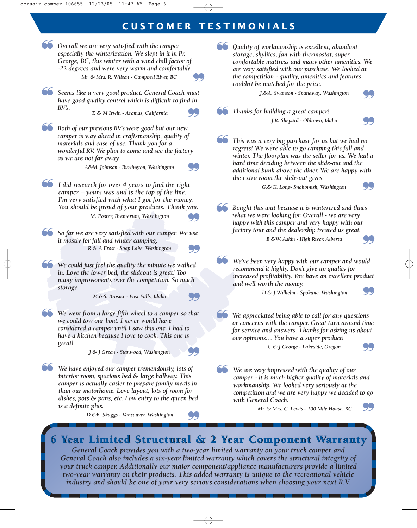## **CUSTOMER TESTIMONIALS**



# 6 Year Limited Structural & 2 Year Component Warranty 6 Year Limited Structural & 2 Year Component Warranty

*General Coach provides you with a two-year limited warranty on your truck camper and General Coach also includes a six-year limited warranty which covers the structural integrity of your truck camper. Additionally our major component/appliance manufacturers provide a limited two-year warranty on their products. This added warranty is unique to the recreational vehicle industry and should be one of your very serious considerations when choosing your next R.V.*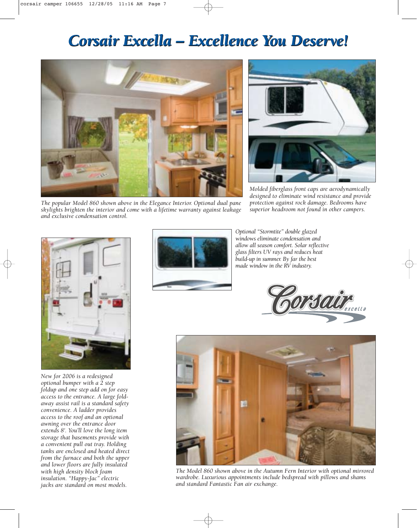# *Corsair Excella – Excellence You Deserve! Corsair Excella – Excellence You Deserve!*



*The popular Model 860 shown above in the Elegance Interior. Optional dual pane skylights brighten the interior and come with a lifetime warranty against leakage and exclusive condensation control.*



*Molded fiberglass front caps are aerodynamically designed to eliminate wind resistance and provide protection against rock damage. Bedrooms have superior headroom not found in other campers.*



*New for 2006 is a redesigned optional bumper with a 2 step foldup and one step add on for easy access to the entrance. A large foldaway assist rail is a standard safety convenience. A ladder provides access to the roof and an optional awning over the entrance door extends 8'. You'll love the long item storage that basements provide with a convenient pull out tray. Holding tanks are enclosed and heated direct from the furnace and both the upper and lower floors are fully insulated with high density block foam insulation. "Happy-Jac" electric jacks are standard on most models.*



*Optional "Stormtite" double glazed windows eliminate condensation and allow all season comfort. Solar reflective glass filters UV rays and reduces heat build-up in summer. By far the best made window in the RV industry.*





*The Model 860 shown above in the Autumn Fern Interior with optional mirrored wardrobe. Luxurious appointments include bedspread with pillows and shams and standard Fantastic Fan air exchange.*